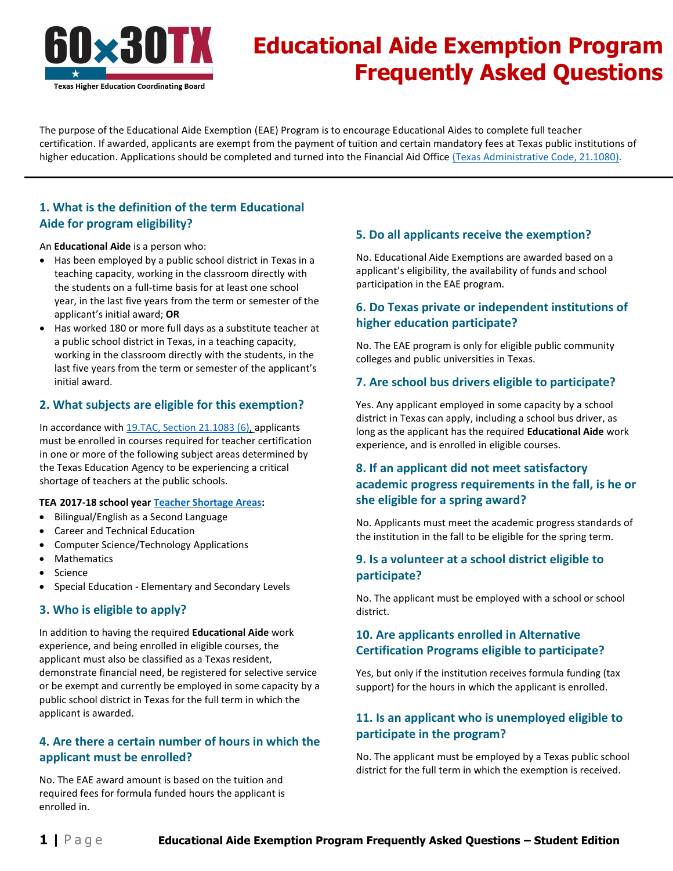

# **Educational Aide Exemption Program Frequently Asked Questions**

The purpose of the Educational Aide Exemption (EAE) Program is to encourage Educational Aides to complete full teacher certification. If awarded, applicants are exempt from the payment of tuition and certain mandatory fees at Texas public institutions of higher education. Applications should be completed and turned into the Financial Aid Office [\(Texas Administrative Code, 21.1080\).](http://texreg.sos.state.tx.us/public/readtac$ext.ViewTAC?tac_view=5&ti=19&pt=1&ch=21&sch=II&rl=Y)

## **1. What is the definition of the term Educational Aide for program eligibility?**

An **Educational Aide** is a person who:

- Has been employed by a public school district in Texas in a teaching capacity, working in the classroom directly with the students on a full-time basis for at least one school year, in the last five years from the term or semester of the applicant's initial award; **OR**
- Has worked 180 or more full days as a substitute teacher at a public school district in Texas, in a teaching capacity, working in the classroom directly with the students, in the last five years from the term or semester of the applicant's initial award.

#### **2. What subjects are eligible for this exemption?**

In accordance with [19.TAC, Section 21.1083 \(6\),](http://texreg.sos.state.tx.us/public/readtac$ext.TacPage?sl=R&app=9&p_dir=&p_rloc=&p_tloc=&p_ploc=&pg=1&p_tac=&ti=19&pt=1&ch=21&rl=1083) applicants must be enrolled in courses required for teacher certification in one or more of the following subject areas determined by the Texas Education Agency to be experiencing a critical shortage of teachers at the public schools.

#### **TEA 2017-18 school year [Teacher Shortage Areas:](http://tea.texas.gov/Texas_Educators/Educator_Initiatives_and_Performance/Student_Loan_Forgiveness_for_Teachers/)**

- Bilingual/English as a Second Language
- Career and Technical Education
- Computer Science/Technology Applications
- Mathematics
- Science
- Special Education Elementary and Secondary Levels

#### **3. Who is eligible to apply?**

In addition to having the required **Educational Aide** work experience, and being enrolled in eligible courses, the applicant must also be classified as a Texas resident, demonstrate financial need, be registered for selective service or be exempt and currently be employed in some capacity by a public school district in Texas for the full term in which the applicant is awarded.

## **4. Are there a certain number of hours in which the applicant must be enrolled?**

No. The EAE award amount is based on the tuition and required fees for formula funded hours the applicant is enrolled in.

#### **5. Do all applicants receive the exemption?**

No. Educational Aide Exemptions are awarded based on a applicant's eligibility, the availability of funds and school participation in the EAE program.

## **6. Do Texas private or independent institutions of higher education participate?**

No. The EAE program is only for eligible public community colleges and public universities in Texas.

#### **7. Are school bus drivers eligible to participate?**

Yes. Any applicant employed in some capacity by a school district in Texas can apply, including a school bus driver, as long as the applicant has the required **Educational Aide** work experience, and is enrolled in eligible courses.

# **8. If an applicant did not meet satisfactory academic progress requirements in the fall, is he or she eligible for a spring award?**

No. Applicants must meet the academic progress standards of the institution in the fall to be eligible for the spring term.

## **9. Is a volunteer at a school district eligible to participate?**

No. The applicant must be employed with a school or school district.

## **10. Are applicants enrolled in Alternative Certification Programs eligible to participate?**

Yes, but only if the institution receives formula funding (tax support) for the hours in which the applicant is enrolled.

## **11. Is an applicant who is unemployed eligible to participate in the program?**

No. The applicant must be employed by a Texas public school district for the full term in which the exemption is received.